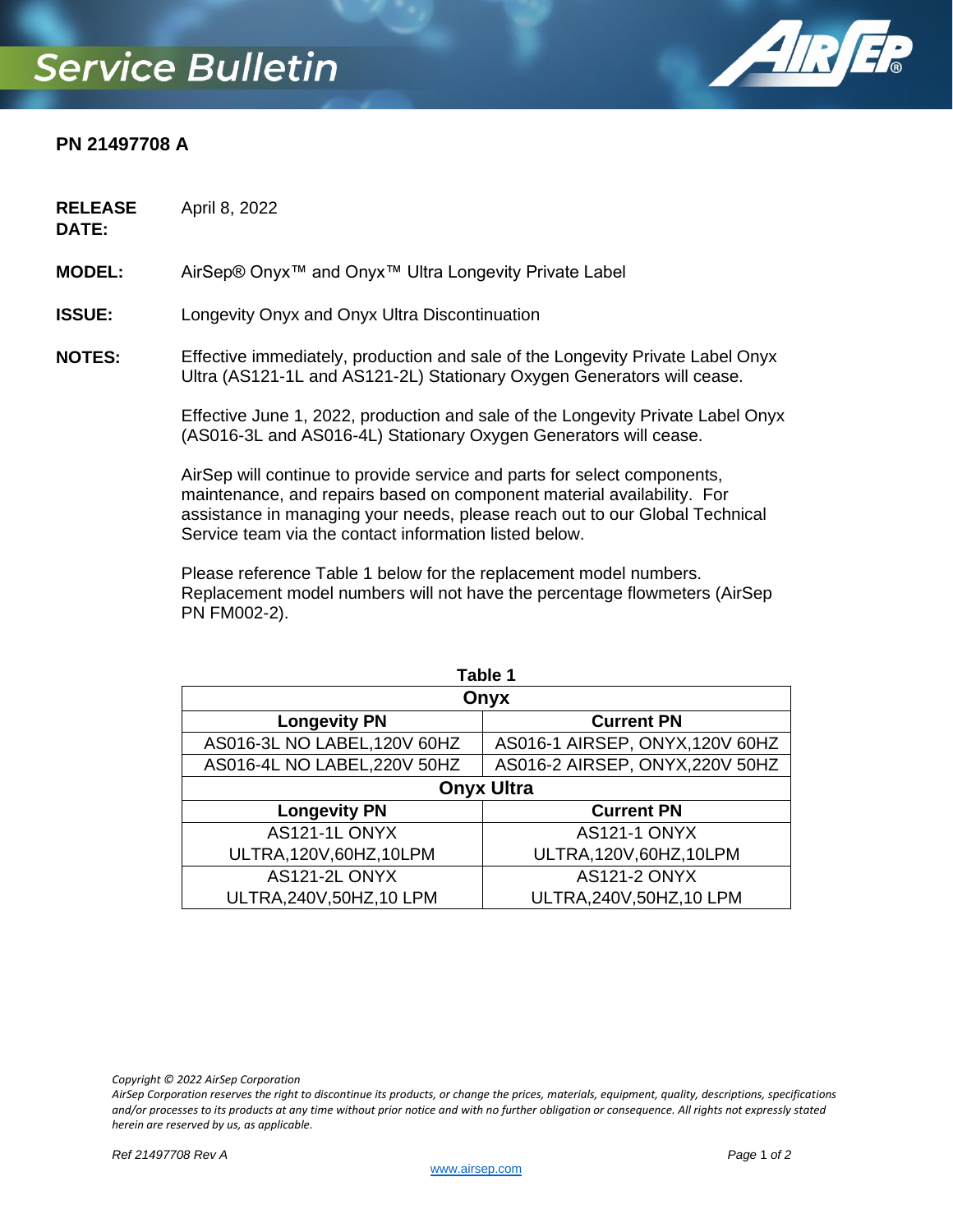## **Service Bulletin**



## **PN 21497708 A**

**RELEASE**  April 8, 2022

**DATE:**

**MODEL:** AirSep® Onyx™ and Onyx™ Ultra Longevity Private Label

**ISSUE:** Longevity Onyx and Onyx Ultra Discontinuation

**NOTES:** Effective immediately, production and sale of the Longevity Private Label Onyx Ultra (AS121-1L and AS121-2L) Stationary Oxygen Generators will cease.

> Effective June 1, 2022, production and sale of the Longevity Private Label Onyx (AS016-3L and AS016-4L) Stationary Oxygen Generators will cease.

AirSep will continue to provide service and parts for select components, maintenance, and repairs based on component material availability. For assistance in managing your needs, please reach out to our Global Technical Service team via the contact information listed below.

Please reference Table 1 below for the replacement model numbers. Replacement model numbers will not have the percentage flowmeters (AirSep PN FM002-2).

| Table 1                      |                                 |
|------------------------------|---------------------------------|
| Onyx                         |                                 |
| <b>Longevity PN</b>          | <b>Current PN</b>               |
| AS016-3L NO LABEL, 120V 60HZ | AS016-1 AIRSEP, ONYX, 120V 60HZ |
| AS016-4L NO LABEL, 220V 50HZ | AS016-2 AIRSEP, ONYX, 220V 50HZ |
| <b>Onyx Ultra</b>            |                                 |
| <b>Longevity PN</b>          | <b>Current PN</b>               |
| AS121-1L ONYX                | <b>AS121-1 ONYX</b>             |
| ULTRA, 120V, 60HZ, 10LPM     | ULTRA, 120V, 60HZ, 10LPM        |
| AS121-2L ONYX                | <b>AS121-2 ONYX</b>             |
| ULTRA, 240V, 50HZ, 10 LPM    | ULTRA, 240V, 50HZ, 10 LPM       |

*Copyright © 2022 AirSep Corporation*

*AirSep Corporation reserves the right to discontinue its products, or change the prices, materials, equipment, quality, descriptions, specifications and/or processes to its products at any time without prior notice and with no further obligation or consequence. All rights not expressly stated herein are reserved by us, as applicable.*